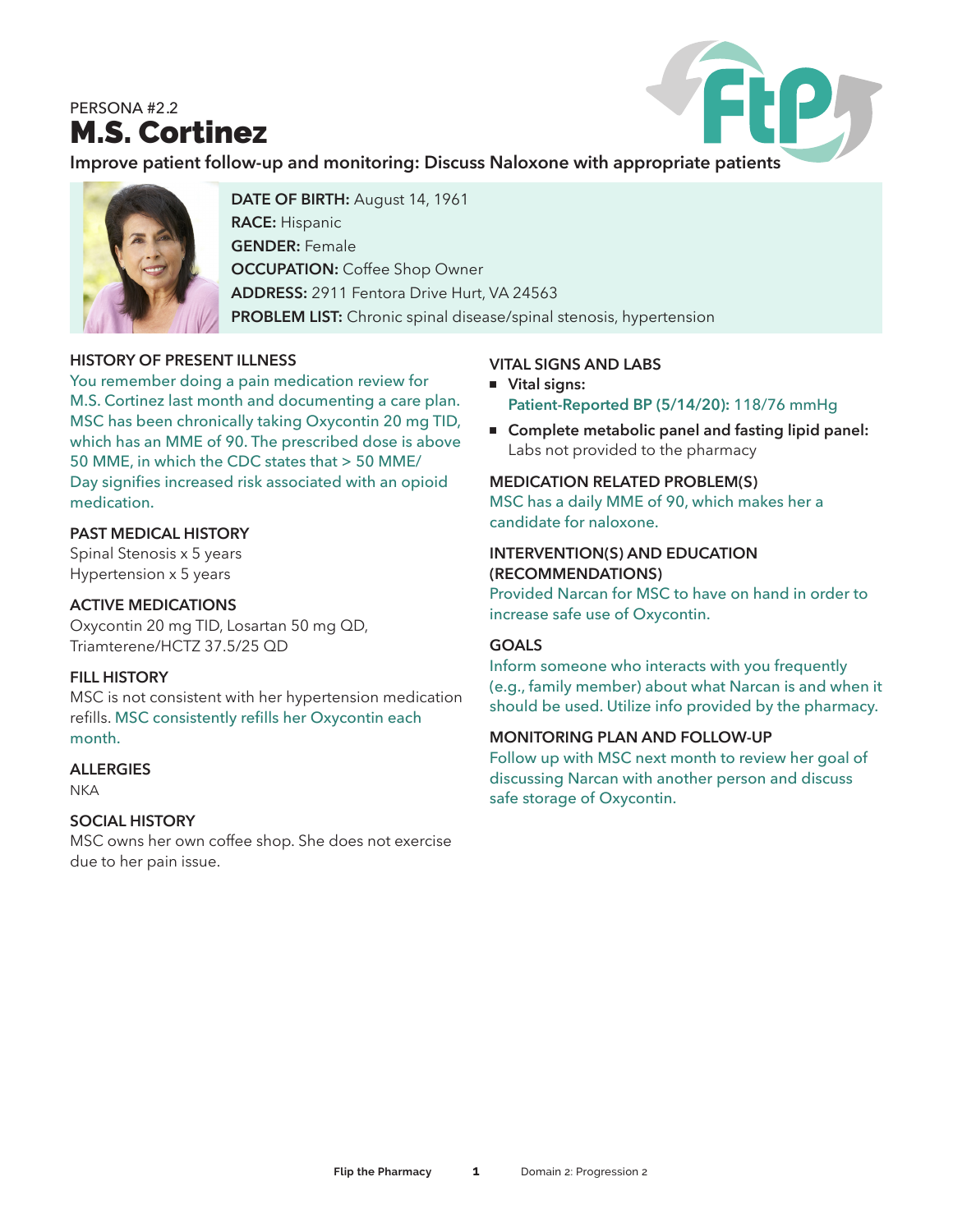# PERSONA #2.2 M.S. Cortinez



**Improve patient follow-up and monitoring: Discuss Naloxone with appropriate patients**



**DATE OF BIRTH:** August 14, 1961 **RACE:** Hispanic **GENDER:** Female **OCCUPATION: Coffee Shop Owner ADDRESS:** 2911 Fentora Drive Hurt, VA 24563 **PROBLEM LIST:** Chronic spinal disease/spinal stenosis, hypertension

# **HISTORY OF PRESENT ILLNESS**

You remember doing a pain medication review for M.S. Cortinez last month and documenting a care plan. MSC has been chronically taking Oxycontin 20 mg TID, which has an MME of 90. The prescribed dose is above 50 MME, in which the CDC states that > 50 MME/ Day signifies increased risk associated with an opioid medication.

#### **PAST MEDICAL HISTORY**

Spinal Stenosis x 5 years Hypertension x 5 years

#### **ACTIVE MEDICATIONS**

Oxycontin 20 mg TID, Losartan 50 mg QD, Triamterene/HCTZ 37.5/25 QD

# **FILL HISTORY**

MSC is not consistent with her hypertension medication refills. MSC consistently refills her Oxycontin each month.

#### **ALLERGIES**

**NKA** 

# **SOCIAL HISTORY**

MSC owns her own coffee shop. She does not exercise due to her pain issue.

# **VITAL SIGNS AND LABS**

- <sup>n</sup> **Vital signs: Patient-Reported BP (5/14/20):** 118/76 mmHg
- Complete metabolic panel and fasting lipid panel: Labs not provided to the pharmacy

### **MEDICATION RELATED PROBLEM(S)**

MSC has a daily MME of 90, which makes her a candidate for naloxone.

#### **INTERVENTION(S) AND EDUCATION (RECOMMENDATIONS)**

Provided Narcan for MSC to have on hand in order to increase safe use of Oxycontin.

# **GOALS**

Inform someone who interacts with you frequently (e.g., family member) about what Narcan is and when it should be used. Utilize info provided by the pharmacy.

#### **MONITORING PLAN AND FOLLOW-UP**

Follow up with MSC next month to review her goal of discussing Narcan with another person and discuss safe storage of Oxycontin.